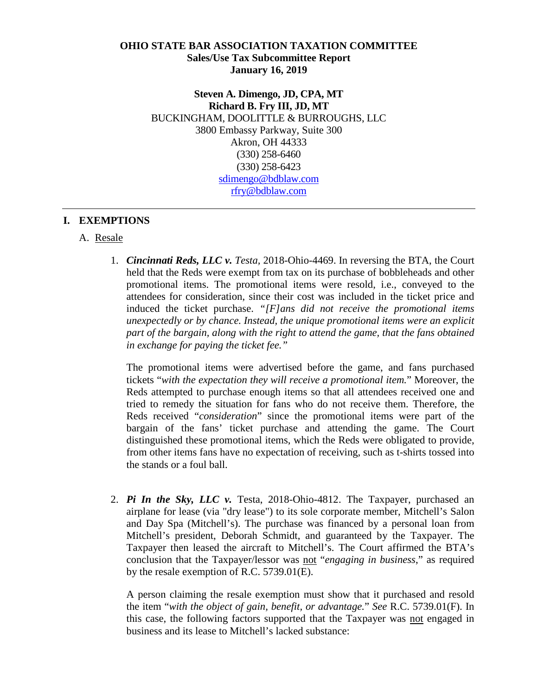#### **OHIO STATE BAR ASSOCIATION TAXATION COMMITTEE Sales/Use Tax Subcommittee Report January 16, 2019**

**Steven A. Dimengo, JD, CPA, MT Richard B. Fry III, JD, MT** BUCKINGHAM, DOOLITTLE & BURROUGHS, LLC 3800 Embassy Parkway, Suite 300 Akron, OH 44333 (330) 258-6460 (330) 258-6423 [sdimengo@bdblaw.com](mailto:sdimengo@bdblaw.com) [rfry@bdblaw.com](mailto:rfry@bdblaw.com)

### **I. EXEMPTIONS**

### A. Resale

1. *Cincinnati Reds, LLC v. Testa,* 2018-Ohio-4469. In reversing the BTA, the Court held that the Reds were exempt from tax on its purchase of bobbleheads and other promotional items. The promotional items were resold, i.e., conveyed to the attendees for consideration, since their cost was included in the ticket price and induced the ticket purchase. *"[F]ans did not receive the promotional items unexpectedly or by chance. Instead, the unique promotional items were an explicit part of the bargain, along with the right to attend the game, that the fans obtained in exchange for paying the ticket fee."*

The promotional items were advertised before the game, and fans purchased tickets "*with the expectation they will receive a promotional item.*" Moreover, the Reds attempted to purchase enough items so that all attendees received one and tried to remedy the situation for fans who do not receive them. Therefore, the Reds received "*consideration*" since the promotional items were part of the bargain of the fans' ticket purchase and attending the game. The Court distinguished these promotional items, which the Reds were obligated to provide, from other items fans have no expectation of receiving, such as t-shirts tossed into the stands or a foul ball.

2. *Pi In the Sky, LLC v.* Testa, 2018-Ohio-4812. The Taxpayer, purchased an airplane for lease (via "dry lease") to its sole corporate member, Mitchell's Salon and Day Spa (Mitchell's). The purchase was financed by a personal loan from Mitchell's president, Deborah Schmidt, and guaranteed by the Taxpayer. The Taxpayer then leased the aircraft to Mitchell's. The Court affirmed the BTA's conclusion that the Taxpayer/lessor was not "*engaging in business*," as required by the resale exemption of R.C. 5739.01(E).

A person claiming the resale exemption must show that it purchased and resold the item "*with the object of gain, benefit, or advantage.*" *See* R.C. [5739.01\(F\).](http://codes.ohio.gov/orc/5739.01) In this case, the following factors supported that the Taxpayer was not engaged in business and its lease to Mitchell's lacked substance: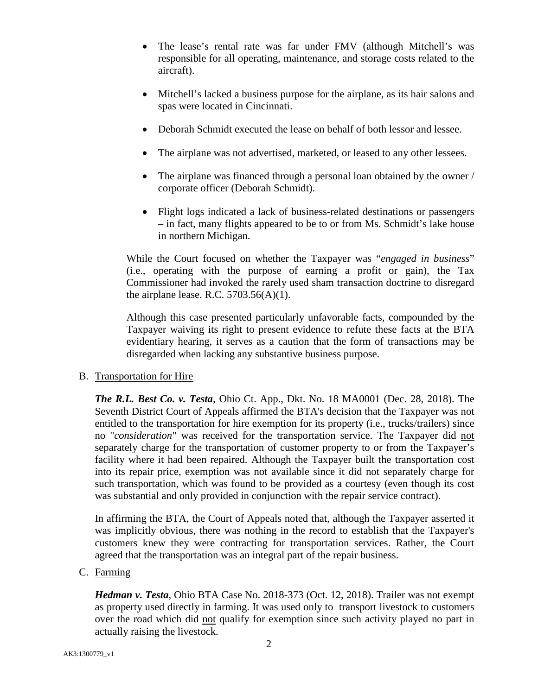- The lease's rental rate was far under FMV (although Mitchell's was responsible for all operating, maintenance, and storage costs related to the aircraft).
- Mitchell's lacked a business purpose for the airplane, as its hair salons and spas were located in Cincinnati.
- Deborah Schmidt executed the lease on behalf of both lessor and lessee.
- The airplane was not advertised, marketed, or leased to any other lessees.
- The airplane was financed through a personal loan obtained by the owner / corporate officer (Deborah Schmidt).
- Flight logs indicated a lack of business-related destinations or passengers – in fact, many flights appeared to be to or from Ms. Schmidt's lake house in northern Michigan.

While the Court focused on whether the Taxpayer was "*engaged in business*" (i.e., operating with the purpose of earning a profit or gain), the Tax Commissioner had invoked the rarely used sham transaction doctrine to disregard the airplane lease. R.C.  $5703.56(A)(1)$ .

Although this case presented particularly unfavorable facts, compounded by the Taxpayer waiving its right to present evidence to refute these facts at the BTA evidentiary hearing, it serves as a caution that the form of transactions may be disregarded when lacking any substantive business purpose.

## B. Transportation for Hire

*The R.L. Best Co. v. Testa*, Ohio Ct. App., Dkt. No. 18 MA0001 (Dec. 28, 2018). The Seventh District Court of Appeals affirmed the BTA's decision that the Taxpayer was not entitled to the transportation for hire exemption for its property (i.e., trucks/trailers) since no "*consideration*" was received for the transportation service. The Taxpayer did not separately charge for the transportation of customer property to or from the Taxpayer's facility where it had been repaired. Although the Taxpayer built the transportation cost into its repair price, exemption was not available since it did not separately charge for such transportation, which was found to be provided as a courtesy (even though its cost was substantial and only provided in conjunction with the repair service contract).

In affirming the BTA, the Court of Appeals noted that, although the Taxpayer asserted it was implicitly obvious, there was nothing in the record to establish that the Taxpayer's customers knew they were contracting for transportation services. Rather, the Court agreed that the transportation was an integral part of the repair business.

## C. Farming

*Hedman v. Testa*, Ohio BTA Case No. 2018-373 (Oct. 12, 2018). Trailer was not exempt as property used directly in farming. It was used only to transport livestock to customers over the road which did not qualify for exemption since such activity played no part in actually raising the livestock.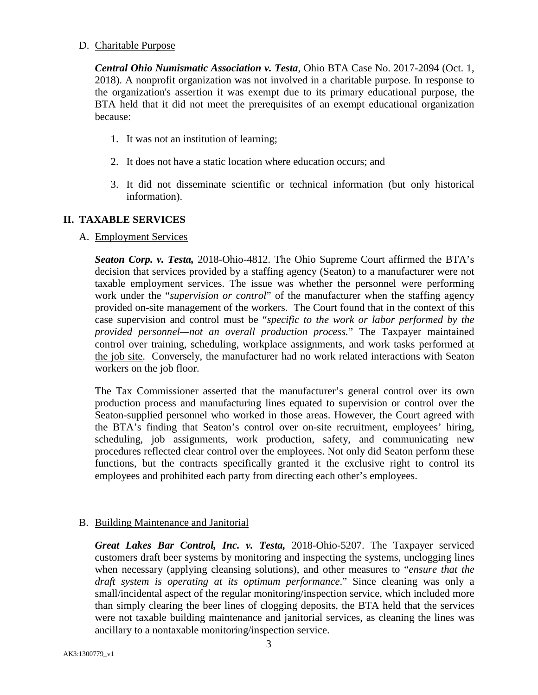### D. Charitable Purpose

*Central Ohio Numismatic Association v. Testa*, Ohio BTA Case No. 2017-2094 (Oct. 1, 2018). A nonprofit organization was not involved in a charitable purpose. In response to the organization's assertion it was exempt due to its primary educational purpose, the BTA held that it did not meet the prerequisites of an exempt educational organization because:

- 1. It was not an institution of learning;
- 2. It does not have a static location where education occurs; and
- 3. It did not disseminate scientific or technical information (but only historical information).

# **II. TAXABLE SERVICES**

### A. Employment Services

*Seaton Corp. v. Testa,* 2018-Ohio-4812. The Ohio Supreme [Court](http://www.supremecourt.ohio.gov/) affirmed the BTA's decision that services provided by a staffing agency (Seaton) to a manufacturer were not taxable employment services. The issue was whether the personnel were performing work under the "*supervision or control*" of the manufacturer when the staffing agency provided on-site management of the workers*.* The Court found that in the context of this case supervision and control must be "*specific to the work or labor performed by the provided personnel—not an overall production process.*" The Taxpayer maintained control over training, scheduling, workplace assignments, and work tasks performed at the job site. Conversely, the manufacturer had no work related interactions with Seaton workers on the job floor.

The Tax Commissioner asserted that the manufacturer's general control over its own production process and manufacturing lines equated to supervision or control over the Seaton-supplied personnel who worked in those areas. However, the Court agreed with the BTA's finding that Seaton's control over on-site recruitment, employees' hiring, scheduling, job assignments, work production, safety, and communicating new procedures reflected clear control over the employees. Not only did Seaton perform these functions, but the contracts specifically granted it the exclusive right to control its employees and prohibited each party from directing each other's employees.

## B. Building Maintenance and Janitorial

*Great Lakes Bar Control, Inc. v. Testa,* 2018-Ohio-5207. The Taxpayer serviced customers draft beer systems by monitoring and inspecting the systems, unclogging lines when necessary (applying cleansing solutions), and other measures to "*ensure that the draft system is operating at its optimum performance*." Since cleaning was only a small/incidental aspect of the regular monitoring/inspection service, which included more than simply clearing the beer lines of clogging deposits, the BTA held that the services were not taxable building maintenance and janitorial services, as cleaning the lines was ancillary to a nontaxable monitoring/inspection service.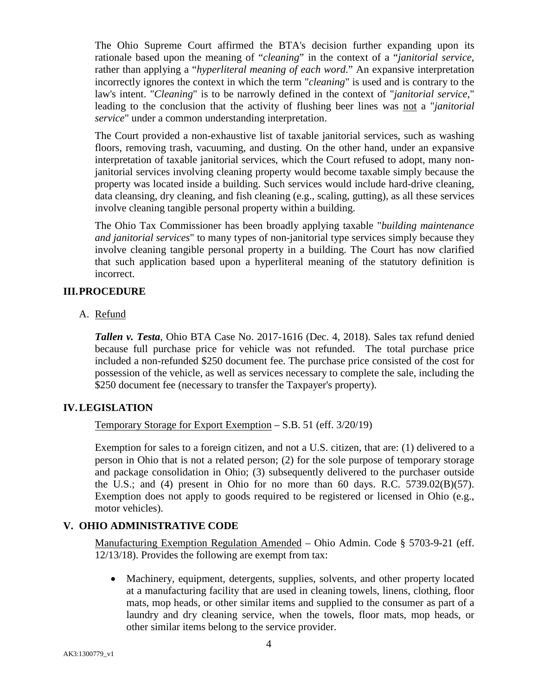The Ohio Supreme Court affirmed the BTA's decision further expanding upon its rationale based upon the meaning of "*cleaning*" in the context of a "*janitorial service*, rather than applying a "*hyperliteral meaning of each word*." An expansive interpretation incorrectly ignores the context in which the term "*cleaning*" is used and is contrary to the law's intent. "*Cleaning*" is to be narrowly defined in the context of "*janitorial service*," leading to the conclusion that the activity of flushing beer lines was not a "*janitorial service*" under a common understanding interpretation.

The Court provided a non-exhaustive list of taxable janitorial services, such as washing floors, removing trash, vacuuming, and dusting. On the other hand, under an expansive interpretation of taxable janitorial services, which the Court refused to adopt, many nonjanitorial services involving cleaning property would become taxable simply because the property was located inside a building. Such services would include hard-drive cleaning, data cleansing, dry cleaning, and fish cleaning (e.g., scaling, gutting), as all these services involve cleaning tangible personal property within a building.

The Ohio Tax Commissioner has been broadly applying taxable "*building maintenance and janitorial services*" to many types of non-janitorial type services simply because they involve cleaning tangible personal property in a building. The Court has now clarified that such application based upon a hyperliteral meaning of the statutory definition is incorrect.

## **III.PROCEDURE**

A. Refund

*Tallen v. Testa*, Ohio BTA Case No. 2017-1616 (Dec. 4, 2018). Sales tax refund denied because full purchase price for vehicle was not refunded. The total purchase price included a non-refunded \$250 document fee. The purchase price consisted of the cost for possession of the vehicle, as well as services necessary to complete the sale, including the \$250 document fee (necessary to transfer the Taxpayer's property).

## **IV.LEGISLATION**

Temporary Storage for Export Exemption – S.B. 51 (eff. 3/20/19)

Exemption for sales to a foreign citizen, and not a U.S. citizen, that are: (1) delivered to a person in Ohio that is not a related person; (2) for the sole purpose of temporary storage and package consolidation in Ohio; (3) subsequently delivered to the purchaser outside the U.S.; and (4) present in Ohio for no more than 60 days. R.C.  $5739.02(B)(57)$ . Exemption does not apply to goods required to be registered or licensed in Ohio (e.g., motor vehicles).

## **V. OHIO ADMINISTRATIVE CODE**

Manufacturing Exemption Regulation Amended – Ohio Admin. Code § 5703-9-21 (eff. 12/13/18). Provides the following are exempt from tax:

• Machinery, equipment, detergents, supplies, solvents, and other property located at a manufacturing facility that are used in cleaning towels, linens, clothing, floor mats, mop heads, or other similar items and supplied to the consumer as part of a laundry and dry cleaning service, when the towels, floor mats, mop heads, or other similar items belong to the service provider.